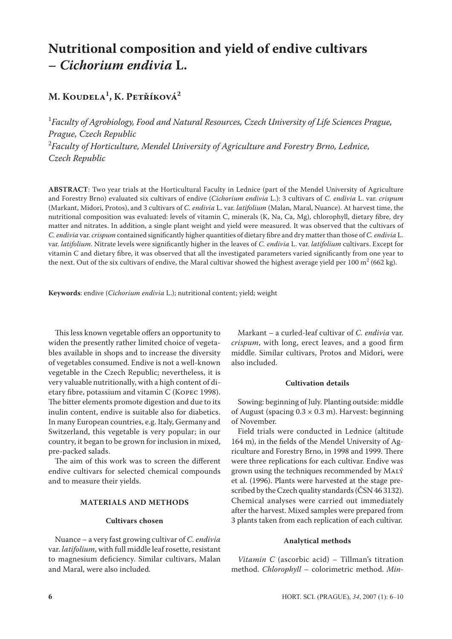# **Nutritional composition and yield of endive cultivars –** *Cichorium endivia* **L.**

## **M. Koudela1 , K. Petříková2**

1 *Faculty of Agrobiology, Food and Natural Resources, Czech University of Life Sciences Prague, Prague, Czech Republic* 2 *Faculty of Horticulture, Mendel University of Agriculture and Forestry Brno, Lednice, Czech Republic*

**ABSTRACT**: Two year trials at the Horticultural Faculty in Lednice (part of the Mendel University of Agriculture and Forestry Brno) evaluated six cultivars of endive (*Cichorium endivia* L.): 3 cultivars of *C. endivia* L. var. *crispum* (Markant, Midori, Protos), and 3 cultivars of *C. endivia* L. var. *latifolium* (Malan, Maral, Nuance). At harvest time, the nutritional composition was evaluated: levels of vitamin C, minerals (K, Na, Ca, Mg), chlorophyll, dietary fibre, dry matter and nitrates. In addition, a single plant weight and yield were measured. It was observed that the cultivars of *C. endivia* var. *crispum* contained significantly higher quantities of dietary fibre and dry matter than those of *C. endivia* L. var. *latifolium*. Nitrate levels were significantly higher in the leaves of *C. endivia* L. var. *latifolium* cultivars. Except for vitamin C and dietary fibre, it was observed that all the investigated parameters varied significantly from one year to the next. Out of the six cultivars of endive, the Maral cultivar showed the highest average yield per 100 m $^2$  (662 kg).

**Keywords**: endive (*Cichorium endivia* L.); nutritional content; yield; weight

This less known vegetable offers an opportunity to widen the presently rather limited choice of vegetables available in shops and to increase the diversity of vegetables consumed. Endive is not a well-known vegetable in the Czech Republic; nevertheless, it is very valuable nutritionally, with a high content of dietary fibre, potassium and vitamin C (Kopec 1998). The bitter elements promote digestion and due to its inulin content, endive is suitable also for diabetics. In many European countries, e.g. Italy, Germany and Switzerland, this vegetable is very popular; in our country, it began to be grown for inclusion in mixed, pre-packed salads.

The aim of this work was to screen the different endive cultivars for selected chemical compounds and to measure their yields.

## **MATERIALS AND METHODS**

#### **Cultivars chosen**

Nuance – a very fast growing cultivar of *C. endivia*  var. *latifolium*, with full middle leaf rosette, resistant to magnesium deficiency. Similar cultivars, Malan and Maral, were also included.

Markant – a curled-leaf cultivar of *C. endivia* var. *crispum*, with long, erect leaves, and a good firm middle. Similar cultivars, Protos and Midori, were also included.

#### **Cultivation details**

Sowing: beginning of July. Planting outside: middle of August (spacing  $0.3 \times 0.3$  m). Harvest: beginning of November.

Field trials were conducted in Lednice (altitude 164 m), in the fields of the Mendel University of Agriculture and Forestry Brno, in 1998 and 1999. There were three replications for each cultivar. Endive was grown using the techniques recommended by Malý et al. (1996). Plants were harvested at the stage prescribed by the Czech quality standards (ČSN 46 3132). Chemical analyses were carried out immediately after the harvest. Mixed samples were prepared from 3 plants taken from each replication of each cultivar.

#### **Analytical methods**

*Vitamin C* (ascorbic acid) *–* Tillman's titration method. *Chlorophyll* – colorimetric method. *Min-*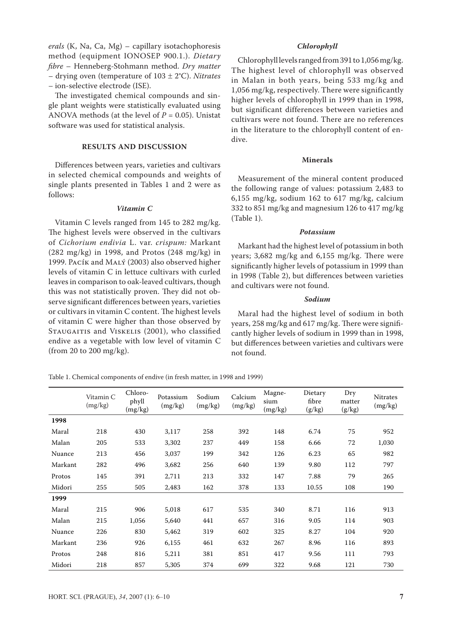*erals* (K, Na, Ca, Mg) – capillary isotachophoresis method (equipment IONOSEP 900.1.). *Dietary fibre* – Henneberg-Stohmann method. *Dry matter –* drying oven (temperature of 103 ± 2°C). *Nitrates –* ion-selective electrode (ISE).

The investigated chemical compounds and single plant weights were statistically evaluated using ANOVA methods (at the level of  $P = 0.05$ ). Unistat software was used for statistical analysis.

#### **RESULTS AND DISCUSSION**

Differences between years, varieties and cultivars in selected chemical compounds and weights of single plants presented in Tables 1 and 2 were as follows:

#### *Vitamin C*

Vitamin C levels ranged from 145 to 282 mg/kg. The highest levels were observed in the cultivars of *Cichorium endivia* L. var. *crispum:* Markant (282 mg/kg) in 1998, and Protos (248 mg/kg) in 1999. Pacík and Malý (2003) also observed higher levels of vitamin C in lettuce cultivars with curled leaves in comparison to oak-leaved cultivars, though this was not statistically proven. They did not observe significant differences between years, varieties or cultivars in vitamin C content. The highest levels of vitamin C were higher than those observed by STAUGAITIS and VISKELIS (2001), who classified endive as a vegetable with low level of vitamin C (from 20 to 200 mg/kg).

#### *Chlorophyll*

Chlorophyll levels ranged from 391 to 1,056 mg/kg. The highest level of chlorophyll was observed in Malan in both years, being 533 mg/kg and 1,056 mg/kg, respectively. There were significantly higher levels of chlorophyll in 1999 than in 1998, but significant differences between varieties and cultivars were not found. There are no references in the literature to the chlorophyll content of endive.

#### **Minerals**

Measurement of the mineral content produced the following range of values: potassium 2,483 to 6,155 mg/kg, sodium 162 to 617 mg/kg, calcium 332 to 851 mg/kg and magnesium 126 to 417 mg/kg (Table 1).

#### *Potassium*

Markant had the highest level of potassium in both years; 3,682 mg/kg and 6,155 mg/kg. There were significantly higher levels of potassium in 1999 than in 1998 (Table 2), but differences between varieties and cultivars were not found.

#### *Sodium*

Maral had the highest level of sodium in both years, 258 mg/kg and 617 mg/kg. There were significantly higher levels of sodium in 1999 than in 1998, but differences between varieties and cultivars were not found.

Table 1. Chemical components of endive (in fresh matter, in 1998 and 1999)

|         | Vitamin C<br>(mg/kg) | Chloro-<br>phyll<br>(mg/kg) | Potassium<br>(mg/kg) | Sodium<br>(mg/kg) | Calcium<br>(mg/kg) | Magne-<br>sium<br>(mg/kg) | Dietary<br>fibre<br>(g/kg) | Dry<br>matter<br>(g/kg) | <b>Nitrates</b><br>(mg/kg) |
|---------|----------------------|-----------------------------|----------------------|-------------------|--------------------|---------------------------|----------------------------|-------------------------|----------------------------|
| 1998    |                      |                             |                      |                   |                    |                           |                            |                         |                            |
| Maral   | 218                  | 430                         | 3,117                | 258               | 392                | 148                       | 6.74                       | 75                      | 952                        |
| Malan   | 205                  | 533                         | 3,302                | 237               | 449                | 158                       | 6.66                       | 72                      | 1,030                      |
| Nuance  | 213                  | 456                         | 3,037                | 199               | 342                | 126                       | 6.23                       | 65                      | 982                        |
| Markant | 282                  | 496                         | 3,682                | 256               | 640                | 139                       | 9.80                       | 112                     | 797                        |
| Protos  | 145                  | 391                         | 2,711                | 213               | 332                | 147                       | 7.88                       | 79                      | 265                        |
| Midori  | 255                  | 505                         | 2,483                | 162               | 378                | 133                       | 10.55                      | 108                     | 190                        |
| 1999    |                      |                             |                      |                   |                    |                           |                            |                         |                            |
| Maral   | 215                  | 906                         | 5,018                | 617               | 535                | 340                       | 8.71                       | 116                     | 913                        |
| Malan   | 215                  | 1,056                       | 5,640                | 441               | 657                | 316                       | 9.05                       | 114                     | 903                        |
| Nuance  | 226                  | 830                         | 5,462                | 319               | 602                | 325                       | 8.27                       | 104                     | 920                        |
| Markant | 236                  | 926                         | 6,155                | 461               | 632                | 267                       | 8.96                       | 116                     | 893                        |
| Protos  | 248                  | 816                         | 5,211                | 381               | 851                | 417                       | 9.56                       | 111                     | 793                        |
| Midori  | 218                  | 857                         | 5,305                | 374               | 699                | 322                       | 9.68                       | 121                     | 730                        |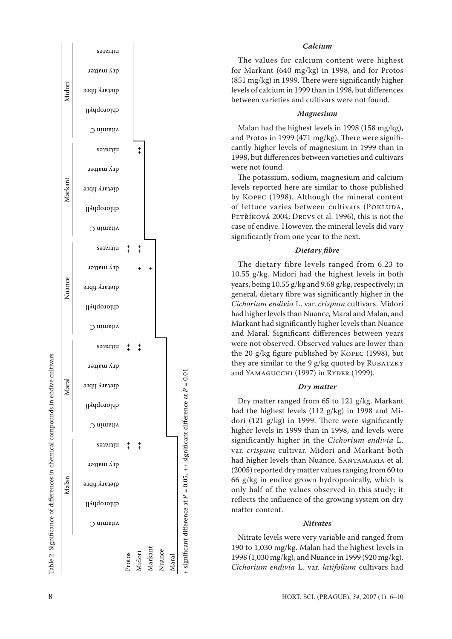

## *Calcium*

The values for calcium content were highest for Markant (640 mg/kg) in 1998, and for Protos (851 mg/kg) in 1999. There were significantly higher levels of calcium in 1999 than in 1998, but differences between varieties and cultivars were not found.

#### *Magnesium*

Malan had the highest levels in 1998 (158 mg/kg), and Protos in 1999 (471 mg/kg). There were signifi cantly higher levels of magnesium in 1999 than in 1998, but differences between varieties and cultivars were not found.

The potassium, sodium, magnesium and calcium levels reported here are similar to those published by Kopec (1998). Although the mineral content of lettuce varies between cultivars (POKLUDA, PETŘÍKOVÁ 2004; DREVS et al. 1996), this is not the case of endive. However, the mineral levels did vary significantly from one year to the next.

#### *Dietary fibre*

The dietary fibre levels ranged from 6.23 to 10.55 g/kg. Midori had the highest levels in both years, being 10.55 g/kg and 9.68 g/kg, respectively; in general, dietary fibre was significantly higher in the *Cichorium endivia* L. var. *crispum* cultivars. Midori had higher levels than Nuance, Maral and Malan, and Markant had significantly higher levels than Nuance and Maral. Significant differences between years were not observed. Observed values are lower than the 20 g/kg figure published by Kopec (1998), but they are similar to the 9 g/kg quoted by RUBATZKY and YAMAGUCCHI (1997) in RYDER (1999).

## *Dry matter*

Dry matter ranged from 65 to 121 g/kg. Markant had the highest levels (112 g/kg) in 1998 and Mi dori (121 g/kg) in 1999. There were significantly higher levels in 1999 than in 1998, and levels were significantly higher in the *Cichorium endivia* L. var. *crispum* cultivar. Midori and Markant both had higher levels than Nuance. SANTAMARIA et al. (2005) reported dry matter values ranging from 60 to 66 g/kg in endive grown hydroponically, which is only half of the values observed in this study; it reflects the influence of the growing system on dry matter content.

#### *Nitrates*

Nitrate levels were very variable and ranged from 190 to 1,030 mg/kg. Malan had the highest levels in 1998 (1,030 mg/kg), and Nuance in 1999 (920 mg/kg). *Cichorium endivia* L. var. *latifolium* cultivars had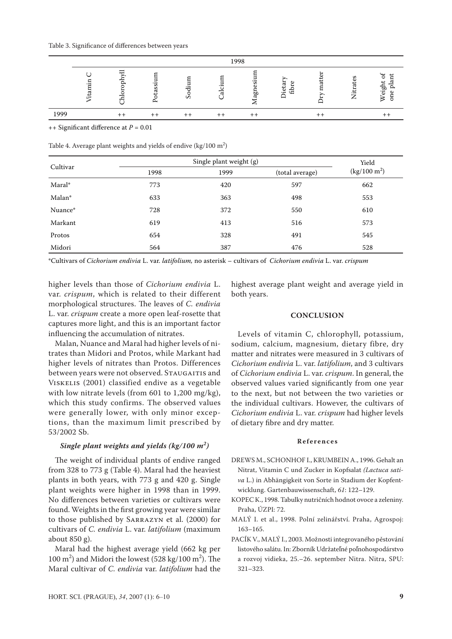|      | 1998 |  |                |                        |  |                                       |                         |                   |                   |
|------|------|--|----------------|------------------------|--|---------------------------------------|-------------------------|-------------------|-------------------|
|      |      |  | . .<br>ò.<br>≏ | $\cdot$ $-$<br>᠇᠇<br>S |  | <br>$\mathbf{r}$<br>-<br>pr<br>ᡂ<br>∼ | Φ<br>ᢍ<br>਼ਿ<br>.≌<br>_ | 89<br>ಸ<br>屶<br>∠ | ⋍<br>$\circ$<br>↷ |
| 1999 |      |  |                |                        |  |                                       |                         |                   |                   |

++ Significant difference at *P* = 0.01

Table 4. Average plant weights and yields of endive  $\frac{\text{kg}}{100 \text{ m}^2}$ 

| Cultivar |      | Yield |                 |                        |  |
|----------|------|-------|-----------------|------------------------|--|
|          | 1998 | 1999  | (total average) | $(kg/100 \text{ m}^2)$ |  |
| Maral*   | 773  | 420   | 597             | 662                    |  |
| Malan*   | 633  | 363   | 498             | 553                    |  |
| Nuance*  | 728  | 372   | 550             | 610                    |  |
| Markant  | 619  | 413   | 516             | 573                    |  |
| Protos   | 654  | 328   | 491             | 545                    |  |
| Midori   | 564  | 387   | 476             | 528                    |  |

\*Cultivars of *Cichorium endivia* L. var. *latifolium,* no asterisk – cultivars of *Cichorium endivia* L. var. *crispum*

higher levels than those of *Cichorium endivia* L. var. *crispum*, which is related to their different morphological structures. The leaves of *C. endivia* L. var. *crispum* create a more open leaf-rosette that captures more light, and this is an important factor influencing the accumulation of nitrates.

Malan, Nuance and Maral had higher levels of nitrates than Midori and Protos, while Markant had higher levels of nitrates than Protos. Differences between years were not observed. STAUGAITIS and Viskelis (2001) classified endive as a vegetable with low nitrate levels (from 601 to 1,200 mg/kg), which this study confirms. The observed values were generally lower, with only minor exceptions, than the maximum limit prescribed by 53/2002 Sb.

## *Single plant weights and yields (kg/100 m<sup>2</sup> )*

The weight of individual plants of endive ranged from 328 to 773 g (Table 4). Maral had the heaviest plants in both years, with 773 g and 420 g. Single plant weights were higher in 1998 than in 1999. No differences between varieties or cultivars were found. Weights in the first growing year were similar to those published by Sarrazyn et al. (2000) for cultivars of *C. endivia* L. var. *latifolium* (maximum about 850 g).

Maral had the highest average yield (662 kg per 100 m<sup>2</sup>) and Midori the lowest (528 kg/100 m<sup>2</sup>). The Maral cultivar of *C. endivia* var. *latifolium* had the

highest average plant weight and average yield in both years.

#### **CONCLUSION**

Levels of vitamin C, chlorophyll, potassium, sodium, calcium, magnesium, dietary fibre, dry matter and nitrates were measured in 3 cultivars of *Cichorium endivia* L. var. *latifolium*, and 3 cultivars of *Cichorium endivia* L. var. *crispum*. In general, the observed values varied significantly from one year to the next, but not between the two varieties or the individual cultivars. However, the cultivars of *Cichorium endivia* L. var. *crispum* had higher levels of dietary fibre and dry matter.

#### **R e f e r e n c e s**

- DREWS M., SCHONHOF I., KRUMBEIN A., 1996. Gehalt an Nitrat, Vitamin C und Zucker in Kopfsalat *(Lactuca sativa* L.) in Abhängigkeit von Sorte in Stadium der Kopfentwicklung. Gartenbauwissenschaft, *61*: 122–129.
- Kopec K., 1998. Tabulky nutričních hodnot ovoce a zeleniny. Praha, ÚZPI: 72.
- Malý I. et al., 1998. Polní zelinářství. Praha, Agrospoj: 163–165.
- PACÍK V., MALÝ I., 2003. Možnosti integrovaného pěstování listového salátu. In: Zborník Udržateľné poľnohospodárstvo a rozvoj vidieka, 25.–26. september Nitra. Nitra, SPU: 321–323.